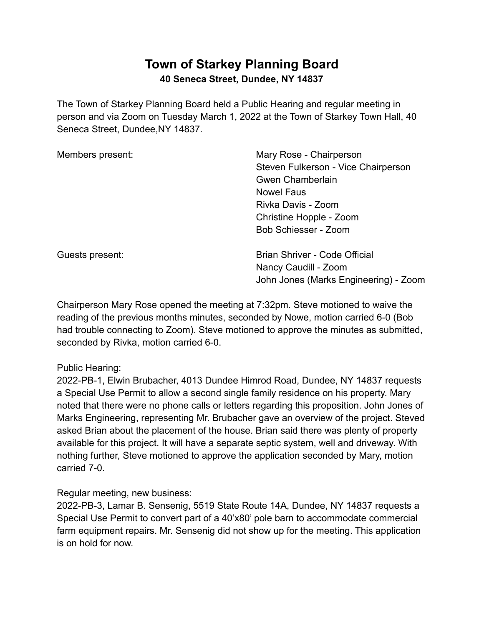## **Town of Starkey Planning Board 40 Seneca Street, Dundee, NY 14837**

The Town of Starkey Planning Board held a Public Hearing and regular meeting in person and via Zoom on Tuesday March 1, 2022 at the Town of Starkey Town Hall, 40 Seneca Street, Dundee,NY 14837.

| Members present: | Mary Rose - Chairperson               |
|------------------|---------------------------------------|
|                  | Steven Fulkerson - Vice Chairperson   |
|                  | Gwen Chamberlain                      |
|                  | <b>Nowel Faus</b>                     |
|                  | Rivka Davis - Zoom                    |
|                  | Christine Hopple - Zoom               |
|                  | Bob Schiesser - Zoom                  |
| Guests present:  | Brian Shriver - Code Official         |
|                  | Nancy Caudill - Zoom                  |
|                  | John Jones (Marks Engineering) - Zoom |

Chairperson Mary Rose opened the meeting at 7:32pm. Steve motioned to waive the reading of the previous months minutes, seconded by Nowe, motion carried 6-0 (Bob had trouble connecting to Zoom). Steve motioned to approve the minutes as submitted, seconded by Rivka, motion carried 6-0.

Public Hearing:

2022-PB-1, Elwin Brubacher, 4013 Dundee Himrod Road, Dundee, NY 14837 requests a Special Use Permit to allow a second single family residence on his property. Mary noted that there were no phone calls or letters regarding this proposition. John Jones of Marks Engineering, representing Mr. Brubacher gave an overview of the project. Steved asked Brian about the placement of the house. Brian said there was plenty of property available for this project. It will have a separate septic system, well and driveway. With nothing further, Steve motioned to approve the application seconded by Mary, motion carried 7-0.

Regular meeting, new business:

2022-PB-3, Lamar B. Sensenig, 5519 State Route 14A, Dundee, NY 14837 requests a Special Use Permit to convert part of a 40'x80' pole barn to accommodate commercial farm equipment repairs. Mr. Sensenig did not show up for the meeting. This application is on hold for now.